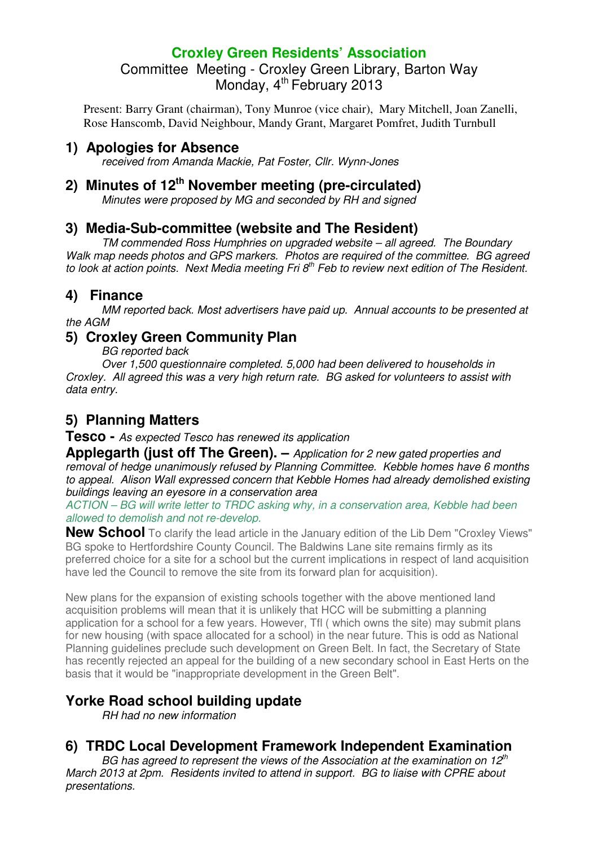## **Croxley Green Residents' Association**  Committee Meeting - Croxley Green Library, Barton Way Monday, 4<sup>th</sup> February 2013

Present: Barry Grant (chairman), Tony Munroe (vice chair), Mary Mitchell, Joan Zanelli, Rose Hanscomb, David Neighbour, Mandy Grant, Margaret Pomfret, Judith Turnbull

## **1) Apologies for Absence**

received from Amanda Mackie, Pat Foster, Cllr. Wynn-Jones

# **2) Minutes of 12th November meeting (pre-circulated)**

Minutes were proposed by MG and seconded by RH and signed

### **3) Media-Sub-committee (website and The Resident)**

TM commended Ross Humphries on upgraded website – all agreed. The Boundary Walk map needs photos and GPS markers. Photos are required of the committee. BG agreed to look at action points. Next Media meeting Fri  $8<sup>th</sup>$  Feb to review next edition of The Resident.

### **4) Finance**

MM reported back. Most advertisers have paid up. Annual accounts to be presented at the AGM

### **5) Croxley Green Community Plan**

BG reported back

 Over 1,500 questionnaire completed. 5,000 had been delivered to households in Croxley. All agreed this was a very high return rate. BG asked for volunteers to assist with data entry.

## **5) Planning Matters**

**Tesco -** As expected Tesco has renewed its application

**Applegarth (just off The Green).** – Application for 2 new gated properties and removal of hedge unanimously refused by Planning Committee. Kebble homes have 6 months to appeal. Alison Wall expressed concern that Kebble Homes had already demolished existing buildings leaving an eyesore in a conservation area

ACTION – BG will write letter to TRDC asking why, in a conservation area, Kebble had been allowed to demolish and not re-develop.

**New School** To clarify the lead article in the January edition of the Lib Dem "Croxley Views" BG spoke to Hertfordshire County Council. The Baldwins Lane site remains firmly as its preferred choice for a site for a school but the current implications in respect of land acquisition have led the Council to remove the site from its forward plan for acquisition).

New plans for the expansion of existing schools together with the above mentioned land acquisition problems will mean that it is unlikely that HCC will be submitting a planning application for a school for a few years. However, Tfl ( which owns the site) may submit plans for new housing (with space allocated for a school) in the near future. This is odd as National Planning guidelines preclude such development on Green Belt. In fact, the Secretary of State has recently rejected an appeal for the building of a new secondary school in East Herts on the basis that it would be "inappropriate development in the Green Belt".

## **Yorke Road school building update**

RH had no new information

## **6) TRDC Local Development Framework Independent Examination**

BG has agreed to represent the views of the Association at the examination on  $12^{th}$ March 2013 at 2pm. Residents invited to attend in support. BG to liaise with CPRE about presentations.